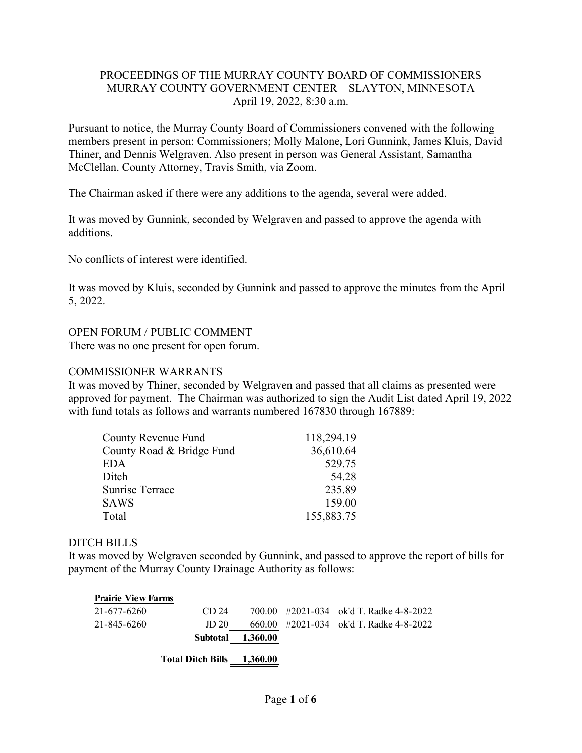## PROCEEDINGS OF THE MURRAY COUNTY BOARD OF COMMISSIONERS MURRAY COUNTY GOVERNMENT CENTER – SLAYTON, MINNESOTA April 19, 2022, 8:30 a.m.

Pursuant to notice, the Murray County Board of Commissioners convened with the following members present in person: Commissioners; Molly Malone, Lori Gunnink, James Kluis, David Thiner, and Dennis Welgraven. Also present in person was General Assistant, Samantha McClellan. County Attorney, Travis Smith, via Zoom.

The Chairman asked if there were any additions to the agenda, several were added.

It was moved by Gunnink, seconded by Welgraven and passed to approve the agenda with additions.

No conflicts of interest were identified.

It was moved by Kluis, seconded by Gunnink and passed to approve the minutes from the April 5, 2022.

## OPEN FORUM / PUBLIC COMMENT

There was no one present for open forum.

## COMMISSIONER WARRANTS

It was moved by Thiner, seconded by Welgraven and passed that all claims as presented were approved for payment. The Chairman was authorized to sign the Audit List dated April 19, 2022 with fund totals as follows and warrants numbered 167830 through 167889:

| County Revenue Fund       | 118,294.19 |
|---------------------------|------------|
| County Road & Bridge Fund | 36,610.64  |
| EDA                       | 529.75     |
| Ditch                     | 54.28      |
| <b>Sunrise Terrace</b>    | 235.89     |
| <b>SAWS</b>               | 159.00     |
| Total                     | 155,883.75 |

## DITCH BILLS

It was moved by Welgraven seconded by Gunnink, and passed to approve the report of bills for payment of the Murray County Drainage Authority as follows:

| <b>Prairie View Farms</b> |                          |          |                                         |
|---------------------------|--------------------------|----------|-----------------------------------------|
| 21-677-6260               | CD 24                    |          | 700.00 #2021-034 ok'd T. Radke 4-8-2022 |
| 21-845-6260               | JD 20                    |          | 660.00 #2021-034 ok'd T. Radke 4-8-2022 |
|                           | <b>Subtotal</b>          | 1,360.00 |                                         |
|                           | <b>Total Ditch Bills</b> | 1,360.00 |                                         |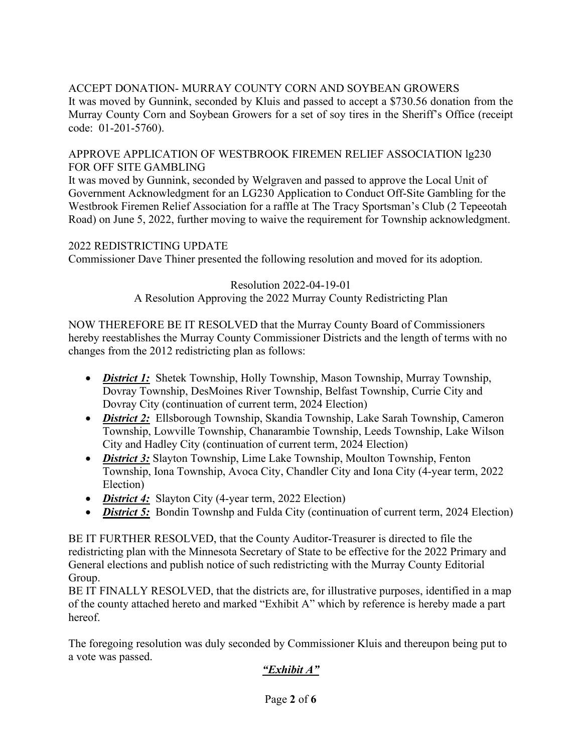# ACCEPT DONATION- MURRAY COUNTY CORN AND SOYBEAN GROWERS

It was moved by Gunnink, seconded by Kluis and passed to accept a \$730.56 donation from the Murray County Corn and Soybean Growers for a set of soy tires in the Sheriff's Office (receipt code: 01-201-5760).

#### APPROVE APPLICATION OF WESTBROOK FIREMEN RELIEF ASSOCIATION lg230 FOR OFF SITE GAMBLING

It was moved by Gunnink, seconded by Welgraven and passed to approve the Local Unit of Government Acknowledgment for an LG230 Application to Conduct Off-Site Gambling for the Westbrook Firemen Relief Association for a raffle at The Tracy Sportsman's Club (2 Tepeeotah Road) on June 5, 2022, further moving to waive the requirement for Township acknowledgment.

## 2022 REDISTRICTING UPDATE

Commissioner Dave Thiner presented the following resolution and moved for its adoption.

#### Resolution 2022-04-19-01 A Resolution Approving the 2022 Murray County Redistricting Plan

NOW THEREFORE BE IT RESOLVED that the Murray County Board of Commissioners hereby reestablishes the Murray County Commissioner Districts and the length of terms with no changes from the 2012 redistricting plan as follows:

- *District 1*: Shetek Township, Holly Township, Mason Township, Murray Township, Dovray Township, DesMoines River Township, Belfast Township, Currie City and Dovray City (continuation of current term, 2024 Election)
- *District 2:* Ellsborough Township, Skandia Township, Lake Sarah Township, Cameron Township, Lowville Township, Chanarambie Township, Leeds Township, Lake Wilson City and Hadley City (continuation of current term, 2024 Election)
- *District 3:* Slayton Township, Lime Lake Township, Moulton Township, Fenton Township, Iona Township, Avoca City, Chandler City and Iona City (4-year term, 2022 Election)
- *District 4*: Slayton City (4-year term, 2022 Election)
- *District 5*: Bondin Townshp and Fulda City (continuation of current term, 2024 Election)

BE IT FURTHER RESOLVED, that the County Auditor-Treasurer is directed to file the redistricting plan with the Minnesota Secretary of State to be effective for the 2022 Primary and General elections and publish notice of such redistricting with the Murray County Editorial Group.

BE IT FINALLY RESOLVED, that the districts are, for illustrative purposes, identified in a map of the county attached hereto and marked "Exhibit A" which by reference is hereby made a part hereof.

The foregoing resolution was duly seconded by Commissioner Kluis and thereupon being put to a vote was passed.

## *"Exhibit A"*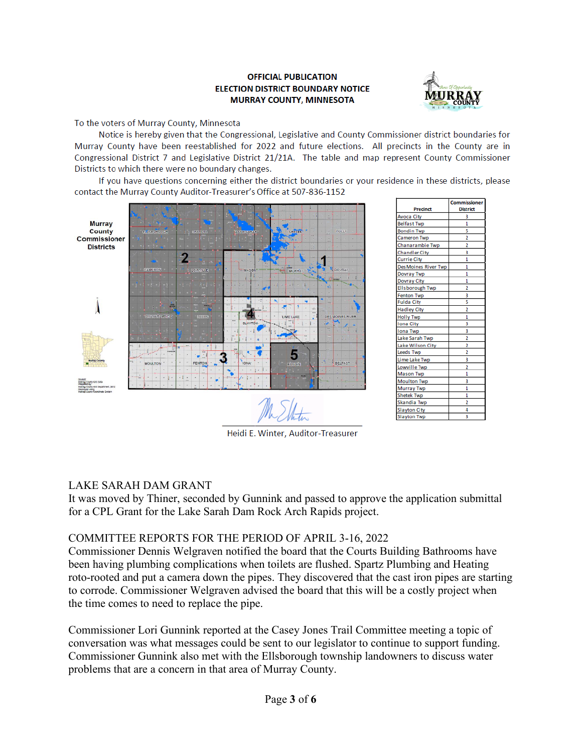#### **OFFICIAL PUBLICATION ELECTION DISTRICT BOUNDARY NOTICE MURRAY COUNTY, MINNESOTA**



To the voters of Murray County, Minnesota

Notice is hereby given that the Congressional, Legislative and County Commissioner district boundaries for Murray County have been reestablished for 2022 and future elections. All precincts in the County are in Congressional District 7 and Legislative District 21/21A. The table and map represent County Commissioner Districts to which there were no boundary changes.

If you have questions concerning either the district boundaries or your residence in these districts, please contact the Murray County Auditor-Treasurer's Office at 507-836-1152



|                             | <b>Commissioner</b> |
|-----------------------------|---------------------|
| Precinct                    | <b>District</b>     |
| <b>Avoca City</b>           | 3                   |
| <b>Belfast Twp</b>          | 1                   |
| <b>Bondin Twp</b>           | 5                   |
| Cameron Twp                 |                     |
| Chanarambie Twp             | $\overline{2}$      |
| <b>Chandler City</b>        | 3                   |
| <b>Currie City</b>          | 1                   |
| <b>Des Moines River Twp</b> | 1                   |
| <b>Dovray Twp</b>           | 1                   |
| <b>Dovray City</b>          | 1                   |
| <b>Ellsborough Twp</b>      | 2                   |
| Fenton Twp                  | 3                   |
| <b>Fulda City</b>           | Ś                   |
| <b>Hadley City</b>          | 2                   |
| <b>Holly Twp</b>            | 1                   |
| <b>Iona City</b>            | 3                   |
| <b>Iona Twp</b>             | 3                   |
| Lake Sarah Twp              | 2                   |
| Lake Wilson City            | 2                   |
| <b>Leeds Twp</b>            | 2                   |
| Lime Lake Twp               | 3                   |
| Lowville Twp                | 2                   |
| <b>Mason Twp</b>            | 1                   |
| <b>Moulton Twp</b>          | 3                   |
| <b>Murray Twp</b>           | 1                   |
| <b>Shetek Twp</b>           | 1                   |
| Skandia Twp                 | 2                   |
| <b>Slayton City</b>         | 4                   |
| <b>Slayton Twp</b>          | 3                   |

Heidi E. Winter, Auditor-Treasurer

## LAKE SARAH DAM GRANT

It was moved by Thiner, seconded by Gunnink and passed to approve the application submittal for a CPL Grant for the Lake Sarah Dam Rock Arch Rapids project.

#### COMMITTEE REPORTS FOR THE PERIOD OF APRIL 3-16, 2022

Commissioner Dennis Welgraven notified the board that the Courts Building Bathrooms have been having plumbing complications when toilets are flushed. Spartz Plumbing and Heating roto-rooted and put a camera down the pipes. They discovered that the cast iron pipes are starting to corrode. Commissioner Welgraven advised the board that this will be a costly project when the time comes to need to replace the pipe.

Commissioner Lori Gunnink reported at the Casey Jones Trail Committee meeting a topic of conversation was what messages could be sent to our legislator to continue to support funding. Commissioner Gunnink also met with the Ellsborough township landowners to discuss water problems that are a concern in that area of Murray County.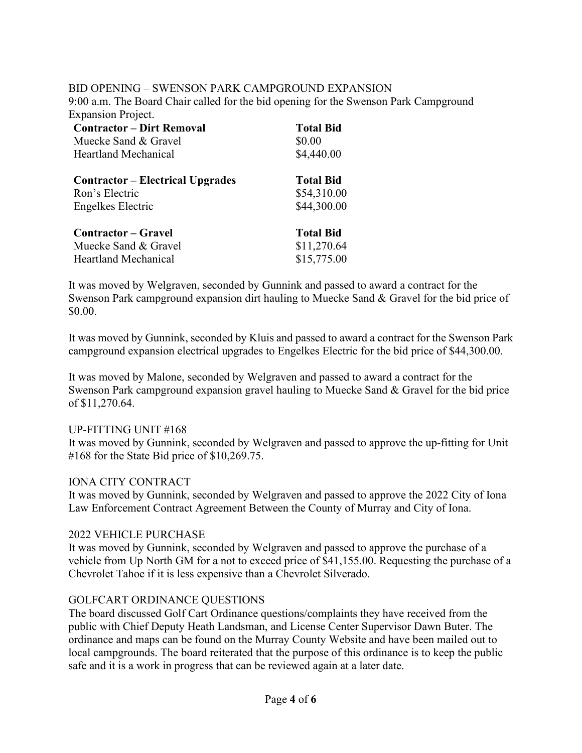#### BID OPENING – SWENSON PARK CAMPGROUND EXPANSION

9:00 a.m. The Board Chair called for the bid opening for the Swenson Park Campground Expansion Project.

| <b>Contractor – Dirt Removal</b>        | <b>Total Bid</b> |
|-----------------------------------------|------------------|
| Muecke Sand & Gravel                    | \$0.00           |
| <b>Heartland Mechanical</b>             | \$4,440.00       |
| <b>Contractor – Electrical Upgrades</b> | <b>Total Bid</b> |
| Ron's Electric                          | \$54,310.00      |
| Engelkes Electric                       | \$44,300.00      |
| Contractor – Gravel                     | <b>Total Bid</b> |
| Muecke Sand & Gravel                    | \$11,270.64      |
| <b>Heartland Mechanical</b>             | \$15,775.00      |

It was moved by Welgraven, seconded by Gunnink and passed to award a contract for the Swenson Park campground expansion dirt hauling to Muecke Sand & Gravel for the bid price of \$0.00.

It was moved by Gunnink, seconded by Kluis and passed to award a contract for the Swenson Park campground expansion electrical upgrades to Engelkes Electric for the bid price of \$44,300.00.

It was moved by Malone, seconded by Welgraven and passed to award a contract for the Swenson Park campground expansion gravel hauling to Muecke Sand & Gravel for the bid price of \$11,270.64.

#### UP-FITTING UNIT #168

It was moved by Gunnink, seconded by Welgraven and passed to approve the up-fitting for Unit #168 for the State Bid price of \$10,269.75.

#### IONA CITY CONTRACT

It was moved by Gunnink, seconded by Welgraven and passed to approve the 2022 City of Iona Law Enforcement Contract Agreement Between the County of Murray and City of Iona.

#### 2022 VEHICLE PURCHASE

It was moved by Gunnink, seconded by Welgraven and passed to approve the purchase of a vehicle from Up North GM for a not to exceed price of \$41,155.00. Requesting the purchase of a Chevrolet Tahoe if it is less expensive than a Chevrolet Silverado.

#### GOLFCART ORDINANCE QUESTIONS

The board discussed Golf Cart Ordinance questions/complaints they have received from the public with Chief Deputy Heath Landsman, and License Center Supervisor Dawn Buter. The ordinance and maps can be found on the Murray County Website and have been mailed out to local campgrounds. The board reiterated that the purpose of this ordinance is to keep the public safe and it is a work in progress that can be reviewed again at a later date.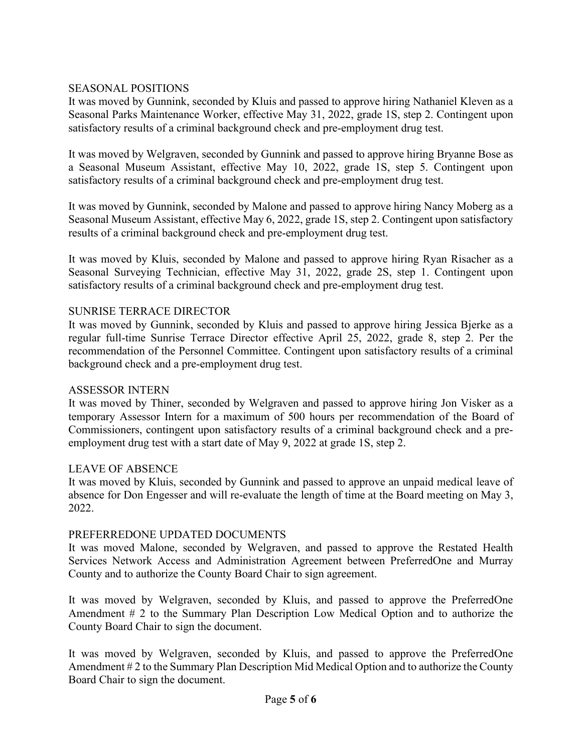## SEASONAL POSITIONS

It was moved by Gunnink, seconded by Kluis and passed to approve hiring Nathaniel Kleven as a Seasonal Parks Maintenance Worker, effective May 31, 2022, grade 1S, step 2. Contingent upon satisfactory results of a criminal background check and pre-employment drug test.

It was moved by Welgraven, seconded by Gunnink and passed to approve hiring Bryanne Bose as a Seasonal Museum Assistant, effective May 10, 2022, grade 1S, step 5. Contingent upon satisfactory results of a criminal background check and pre-employment drug test.

It was moved by Gunnink, seconded by Malone and passed to approve hiring Nancy Moberg as a Seasonal Museum Assistant, effective May 6, 2022, grade 1S, step 2. Contingent upon satisfactory results of a criminal background check and pre-employment drug test.

It was moved by Kluis, seconded by Malone and passed to approve hiring Ryan Risacher as a Seasonal Surveying Technician, effective May 31, 2022, grade 2S, step 1. Contingent upon satisfactory results of a criminal background check and pre-employment drug test.

#### SUNRISE TERRACE DIRECTOR

It was moved by Gunnink, seconded by Kluis and passed to approve hiring Jessica Bjerke as a regular full-time Sunrise Terrace Director effective April 25, 2022, grade 8, step 2. Per the recommendation of the Personnel Committee. Contingent upon satisfactory results of a criminal background check and a pre-employment drug test.

## ASSESSOR INTERN

It was moved by Thiner, seconded by Welgraven and passed to approve hiring Jon Visker as a temporary Assessor Intern for a maximum of 500 hours per recommendation of the Board of Commissioners, contingent upon satisfactory results of a criminal background check and a preemployment drug test with a start date of May 9, 2022 at grade 1S, step 2.

#### LEAVE OF ABSENCE

It was moved by Kluis, seconded by Gunnink and passed to approve an unpaid medical leave of absence for Don Engesser and will re-evaluate the length of time at the Board meeting on May 3, 2022.

#### PREFERREDONE UPDATED DOCUMENTS

It was moved Malone, seconded by Welgraven, and passed to approve the Restated Health Services Network Access and Administration Agreement between PreferredOne and Murray County and to authorize the County Board Chair to sign agreement.

It was moved by Welgraven, seconded by Kluis, and passed to approve the PreferredOne Amendment # 2 to the Summary Plan Description Low Medical Option and to authorize the County Board Chair to sign the document.

It was moved by Welgraven, seconded by Kluis, and passed to approve the PreferredOne Amendment # 2 to the Summary Plan Description Mid Medical Option and to authorize the County Board Chair to sign the document.